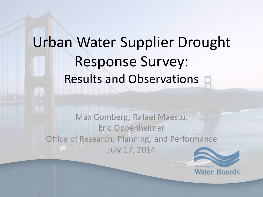# Urban Water Supplier Drought Response Survey: Results and Observations

Max Gomberg, Rafael Maestu, Eric Oppenheimer Office of Research, Planning, and Performance July 17, 2014

**Water Boards**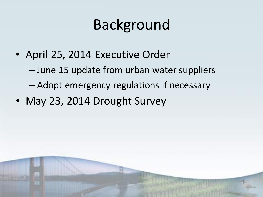# Background

- April 25, 2014 Executive Order
	- June 15 update from urban water suppliers
	- Adopt emergency regulations if necessary
- May 23, 2014 Drought Survey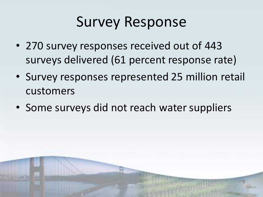# Survey Response

- 270 survey responses received out of 443 surveys delivered (61 percent response rate)
- Survey responses represented 25 million retail customers
- Some surveys did not reach water suppliers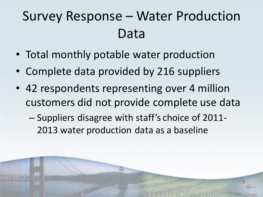## Survey Response – Water Production Data

- Total monthly potable water production
- Complete data provided by 216 suppliers
- 42 respondents representing over 4 million customers did not provide complete use data
	- Suppliers disagree with staff's choice of 2011- 2013 water production data as a baseline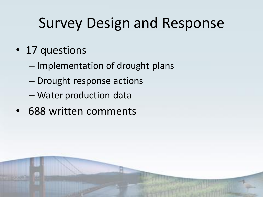# Survey Design and Response

- 17 questions
	- Implementation of drought plans
	- Drought response actions
	- Water production data
- 688 written comments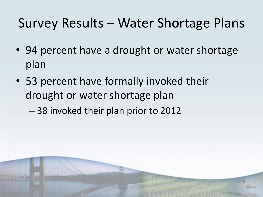### Survey Results – Water Shortage Plans

- 94 percent have a drought or water shortage plan
- 53 percent have formally invoked their drought or water shortage plan
	- 38 invoked their plan prior to 2012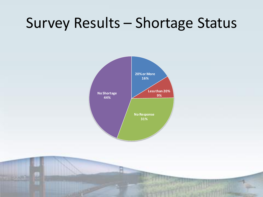### Survey Results – Shortage Status

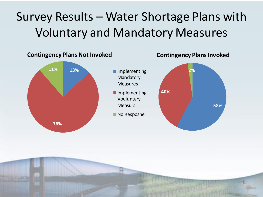### Survey Results – Water Shortage Plans with Voluntary and Mandatory Measures

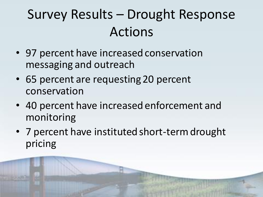## Survey Results – Drought Response Actions

- 97 percent have increased conservation messaging and outreach
- 65 percent are requesting 20 percent conservation
- 40 percent have increased enforcement and monitoring
- 7 percent have instituted short-term drought pricing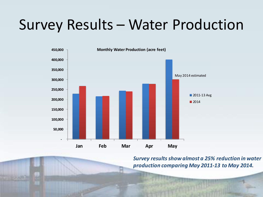## Survey Results – Water Production



*Survey results show almost a 25% reduction in water production comparing May 2011-13 to May 2014.*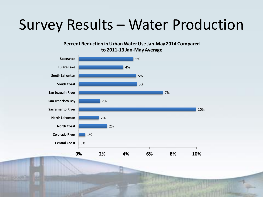## Survey Results – Water Production

**Percent Reduction in Urban Water Use Jan-May 2014 Compared to 2011-13 Jan-May Average** 

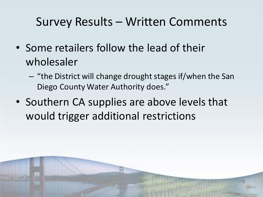#### Survey Results – Written Comments

- Some retailers follow the lead of their wholesaler
	- "the District will change drought stages if/when the San Diego County Water Authority does."
- Southern CA supplies are above levels that would trigger additional restrictions